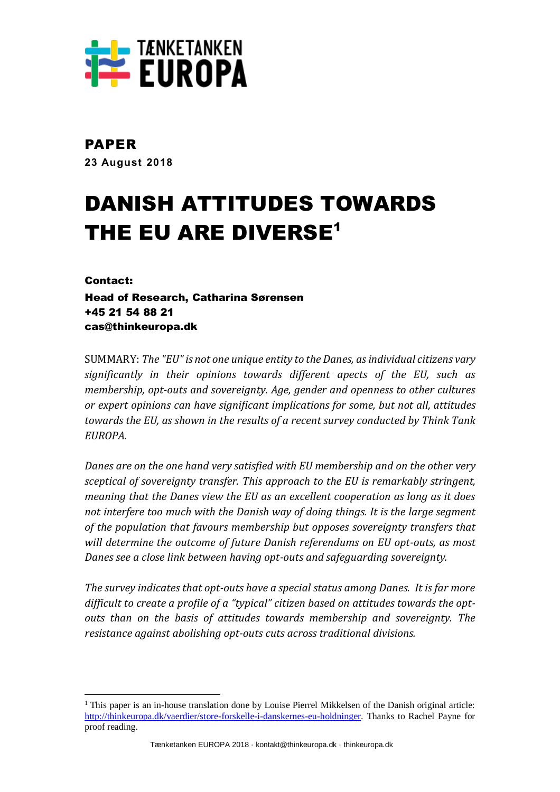

# PAPER

**23 August 2018**

# DANISH ATTITUDES TOWARDS THE EU ARE DIVERSE<sup>1</sup>

Contact:

 $\overline{a}$ 

Head of Research, Catharina Sørensen +45 21 54 88 21 cas@thinkeuropa.dk

SUMMARY: *The "EU" is not one unique entity to the Danes, as individual citizens vary significantly in their opinions towards different apects of the EU, such as membership, opt-outs and sovereignty. Age, gender and openness to other cultures or expert opinions can have significant implications for some, but not all, attitudes towards the EU, as shown in the results of a recent survey conducted by Think Tank EUROPA.*

*Danes are on the one hand very satisfied with EU membership and on the other very sceptical of sovereignty transfer. This approach to the EU is remarkably stringent, meaning that the Danes view the EU as an excellent cooperation as long as it does not interfere too much with the Danish way of doing things. It is the large segment of the population that favours membership but opposes sovereignty transfers that will determine the outcome of future Danish referendums on EU opt-outs, as most Danes see a close link between having opt-outs and safeguarding sovereignty.*

*The survey indicates that opt-outs have a special status among Danes. It is far more difficult to create a profile of a "typical" citizen based on attitudes towards the optouts than on the basis of attitudes towards membership and sovereignty. The resistance against abolishing opt-outs cuts across traditional divisions.*

 $1$  This paper is an in-house translation done by Louise Pierrel Mikkelsen of the Danish original article: [http://thinkeuropa.dk/vaerdier/store-forskelle-i-danskernes-eu-holdninger.](http://thinkeuropa.dk/vaerdier/store-forskelle-i-danskernes-eu-holdninger) Thanks to Rachel Payne for proof reading.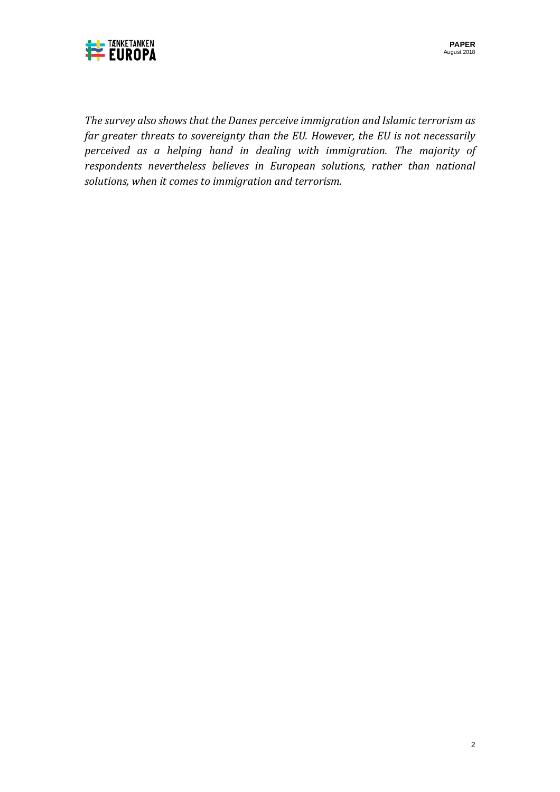

*The survey also shows that the Danes perceive immigration and Islamic terrorism as far greater threats to sovereignty than the EU. However, the EU is not necessarily perceived as a helping hand in dealing with immigration. The majority of respondents nevertheless believes in European solutions, rather than national solutions, when it comes to immigration and terrorism.*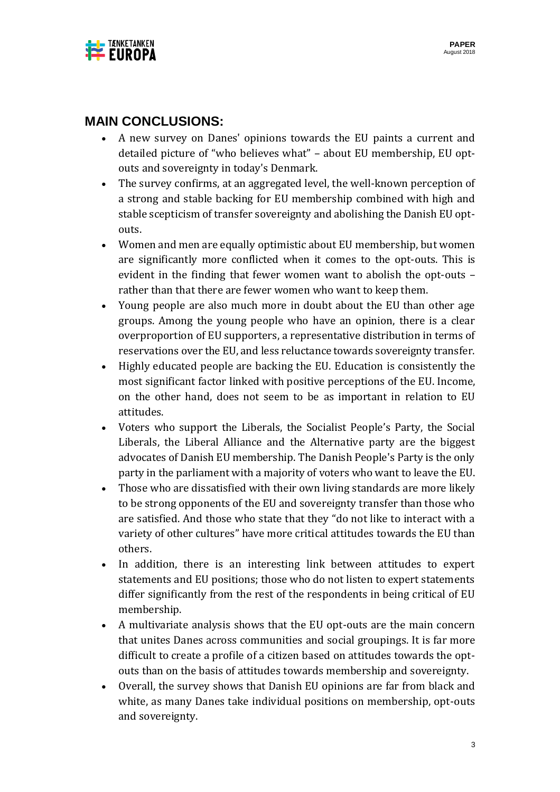

# **MAIN CONCLUSIONS:**

- A new survey on Danes' opinions towards the EU paints a current and detailed picture of "who believes what" – about EU membership, EU optouts and sovereignty in today's Denmark.
- The survey confirms, at an aggregated level, the well-known perception of a strong and stable backing for EU membership combined with high and stable scepticism of transfer sovereignty and abolishing the Danish EU optouts.
- Women and men are equally optimistic about EU membership, but women are significantly more conflicted when it comes to the opt-outs. This is evident in the finding that fewer women want to abolish the opt-outs – rather than that there are fewer women who want to keep them.
- Young people are also much more in doubt about the EU than other age groups. Among the young people who have an opinion, there is a clear overproportion of EU supporters, a representative distribution in terms of reservations over the EU, and less reluctance towards sovereignty transfer.
- Highly educated people are backing the EU. Education is consistently the most significant factor linked with positive perceptions of the EU. Income, on the other hand, does not seem to be as important in relation to EU attitudes.
- Voters who support the Liberals, the Socialist People's Party, the Social Liberals, the Liberal Alliance and the Alternative party are the biggest advocates of Danish EU membership. The Danish People's Party is the only party in the parliament with a majority of voters who want to leave the EU.
- Those who are dissatisfied with their own living standards are more likely to be strong opponents of the EU and sovereignty transfer than those who are satisfied. And those who state that they "do not like to interact with a variety of other cultures" have more critical attitudes towards the EU than others.
- In addition, there is an interesting link between attitudes to expert statements and EU positions; those who do not listen to expert statements differ significantly from the rest of the respondents in being critical of EU membership.
- A multivariate analysis shows that the EU opt-outs are the main concern that unites Danes across communities and social groupings. It is far more difficult to create a profile of a citizen based on attitudes towards the optouts than on the basis of attitudes towards membership and sovereignty.
- Overall, the survey shows that Danish EU opinions are far from black and white, as many Danes take individual positions on membership, opt-outs and sovereignty.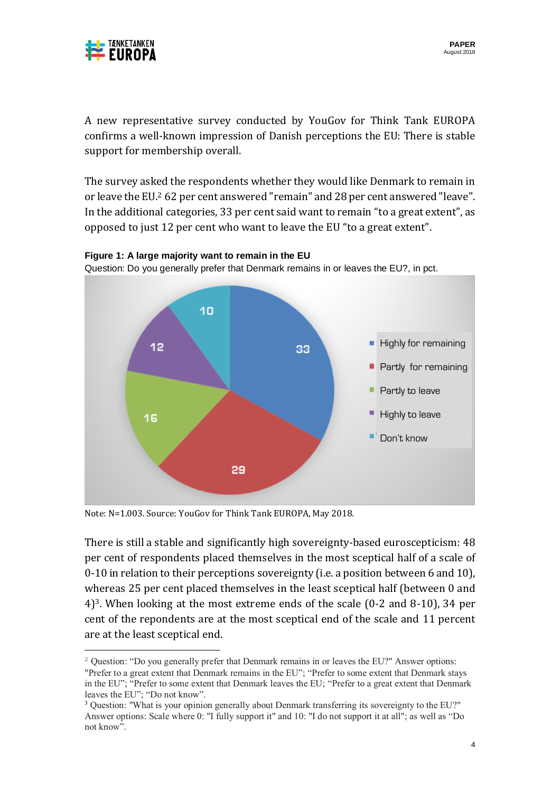

 $\overline{a}$ 

A new representative survey conducted by YouGov for Think Tank EUROPA confirms a well-known impression of Danish perceptions the EU: There is stable support for membership overall.

The survey asked the respondents whether they would like Denmark to remain in or leave the EU.<sup>2</sup> 62 per cent answered "remain" and 28 per cent answered "leave". In the additional categories, 33 per cent said want to remain "to a great extent", as opposed to just 12 per cent who want to leave the EU "to a great extent".



**Figure 1: A large majority want to remain in the EU** Question: Do you generally prefer that Denmark remains in or leaves the EU?, in pct.

Note: N=1.003. Source: YouGov for Think Tank EUROPA, May 2018.

There is still a stable and significantly high sovereignty-based euroscepticism: 48 per cent of respondents placed themselves in the most sceptical half of a scale of 0-10 in relation to their perceptions sovereignty (i.e. a position between 6 and 10), whereas 25 per cent placed themselves in the least sceptical half (between 0 and 4)3. When looking at the most extreme ends of the scale (0-2 and 8-10), 34 per cent of the repondents are at the most sceptical end of the scale and 11 percent are at the least sceptical end.

<sup>2</sup> Question: "Do you generally prefer that Denmark remains in or leaves the EU?" Answer options: "Prefer to a great extent that Denmark remains in the EU"; "Prefer to some extent that Denmark stays in the EU"; "Prefer to some extent that Denmark leaves the EU; "Prefer to a great extent that Denmark leaves the EU"; "Do not know".

<sup>&</sup>lt;sup>3</sup> Question: "What is your opinion generally about Denmark transferring its sovereignty to the EU?" Answer options: Scale where 0: "I fully support it" and 10: "I do not support it at all"; as well as "Do not know".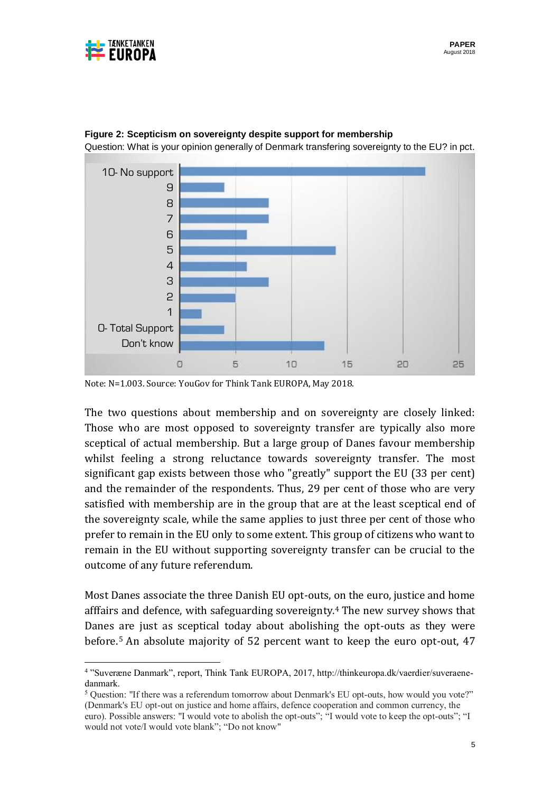

 $\overline{a}$ 



#### **Figure 2: Scepticism on sovereignty despite support for membership**

Question: What is your opinion generally of Denmark transfering sovereignty to the EU? in pct.

The two questions about membership and on sovereignty are closely linked: Those who are most opposed to sovereignty transfer are typically also more sceptical of actual membership. But a large group of Danes favour membership whilst feeling a strong reluctance towards sovereignty transfer. The most significant gap exists between those who "greatly" support the EU (33 per cent) and the remainder of the respondents. Thus, 29 per cent of those who are very satisfied with membership are in the group that are at the least sceptical end of the sovereignty scale, while the same applies to just three per cent of those who prefer to remain in the EU only to some extent. This group of citizens who want to remain in the EU without supporting sovereignty transfer can be crucial to the outcome of any future referendum.

Most Danes associate the three Danish EU opt-outs, on the euro, justice and home afffairs and defence, with safeguarding sovereignty.<sup>4</sup> The new survey shows that Danes are just as sceptical today about abolishing the opt-outs as they were before. <sup>5</sup> An absolute majority of 52 percent want to keep the euro opt-out, 47

Note: N=1.003. Source: YouGov for Think Tank EUROPA, May 2018.

<sup>4</sup> "Suveræne Danmark", report, Think Tank EUROPA, 2017, http://thinkeuropa.dk/vaerdier/suveraenedanmark.

<sup>&</sup>lt;sup>5</sup> Question: "If there was a referendum tomorrow about Denmark's EU opt-outs, how would you vote?" (Denmark's EU opt-out on justice and home affairs, defence cooperation and common currency, the euro). Possible answers: "I would vote to abolish the opt-outs"; "I would vote to keep the opt-outs"; "I would not vote/I would vote blank"; "Do not know"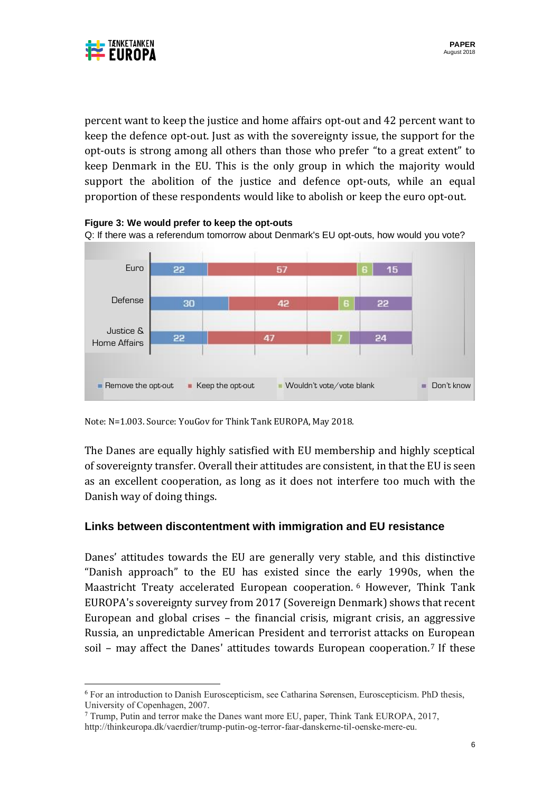



 $\overline{\phantom{a}}$ 

percent want to keep the justice and home affairs opt-out and 42 percent want to keep the defence opt-out. Just as with the sovereignty issue, the support for the opt-outs is strong among all others than those who prefer "to a great extent" to keep Denmark in the EU. This is the only group in which the majority would support the abolition of the justice and defence opt-outs, while an equal proportion of these respondents would like to abolish or keep the euro opt-out.



**Figure 3: We would prefer to keep the opt-outs**

Note: N=1.003. Source: YouGov for Think Tank EUROPA, May 2018.

The Danes are equally highly satisfied with EU membership and highly sceptical of sovereignty transfer. Overall their attitudes are consistent, in that the EU is seen as an excellent cooperation, as long as it does not interfere too much with the Danish way of doing things.

# **Links between discontentment with immigration and EU resistance**

Danes' attitudes towards the EU are generally very stable, and this distinctive "Danish approach" to the EU has existed since the early 1990s, when the Maastricht Treaty accelerated European cooperation. <sup>6</sup> However, Think Tank EUROPA's sovereignty survey from 2017 (Sovereign Denmark) shows that recent European and global crises – the financial crisis, migrant crisis, an aggressive Russia, an unpredictable American President and terrorist attacks on European soil – may affect the Danes' attitudes towards European cooperation.<sup>7</sup> If these

<sup>6</sup> For an introduction to Danish Euroscepticism, see Catharina Sørensen, Euroscepticism. PhD thesis, University of Copenhagen, 2007.

<sup>7</sup> Trump, Putin and terror make the Danes want more EU, paper, Think Tank EUROPA, 2017, http://thinkeuropa.dk/vaerdier/trump-putin-og-terror-faar-danskerne-til-oenske-mere-eu.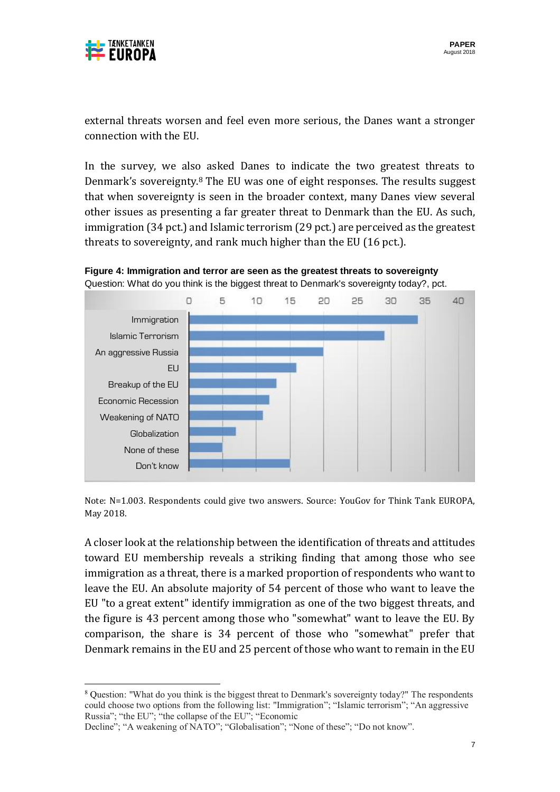

 $\overline{\phantom{a}}$ 

external threats worsen and feel even more serious, the Danes want a stronger connection with the EU.

In the survey, we also asked Danes to indicate the two greatest threats to Denmark's sovereignty.<sup>8</sup> The EU was one of eight responses. The results suggest that when sovereignty is seen in the broader context, many Danes view several other issues as presenting a far greater threat to Denmark than the EU. As such, immigration (34 pct.) and Islamic terrorism (29 pct.) are perceived as the greatest threats to sovereignty, and rank much higher than the EU (16 pct.).



**Figure 4: Immigration and terror are seen as the greatest threats to sovereignty** Question: What do you think is the biggest threat to Denmark's sovereignty today?, pct.

Note: N=1.003. Respondents could give two answers. Source: YouGov for Think Tank EUROPA, May 2018.

A closer look at the relationship between the identification of threats and attitudes toward EU membership reveals a striking finding that among those who see immigration as a threat, there is a marked proportion of respondents who want to leave the EU. An absolute majority of 54 percent of those who want to leave the EU "to a great extent" identify immigration as one of the two biggest threats, and the figure is 43 percent among those who "somewhat" want to leave the EU. By comparison, the share is 34 percent of those who "somewhat" prefer that Denmark remains in the EU and 25 percent of those who want to remain in the EU

<sup>&</sup>lt;sup>8</sup> Question: "What do you think is the biggest threat to Denmark's sovereignty today?" The respondents could choose two options from the following list: "Immigration"; "Islamic terrorism"; "An aggressive Russia"; "the EU"; "the collapse of the EU"; "Economic

Decline"; "A weakening of NATO"; "Globalisation"; "None of these"; "Do not know".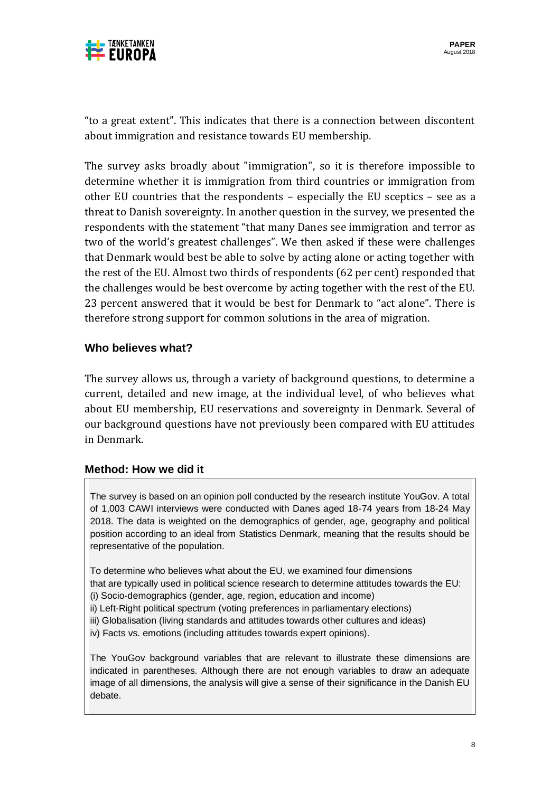

"to a great extent". This indicates that there is a connection between discontent about immigration and resistance towards EU membership.

The survey asks broadly about "immigration", so it is therefore impossible to determine whether it is immigration from third countries or immigration from other EU countries that the respondents – especially the EU sceptics – see as a threat to Danish sovereignty. In another question in the survey, we presented the respondents with the statement "that many Danes see immigration and terror as two of the world's greatest challenges". We then asked if these were challenges that Denmark would best be able to solve by acting alone or acting together with the rest of the EU. Almost two thirds of respondents (62 per cent) responded that the challenges would be best overcome by acting together with the rest of the EU. 23 percent answered that it would be best for Denmark to "act alone". There is therefore strong support for common solutions in the area of migration.

# **Who believes what?**

The survey allows us, through a variety of background questions, to determine a current, detailed and new image, at the individual level, of who believes what about EU membership, EU reservations and sovereignty in Denmark. Several of our background questions have not previously been compared with EU attitudes in Denmark.

# **Method: How we did it**

The survey is based on an opinion poll conducted by the research institute YouGov. A total of 1,003 CAWI interviews were conducted with Danes aged 18-74 years from 18-24 May 2018. The data is weighted on the demographics of gender, age, geography and political position according to an ideal from Statistics Denmark, meaning that the results should be representative of the population.

To determine who believes what about the EU, we examined four dimensions

that are typically used in political science research to determine attitudes towards the EU:

- (i) Socio-demographics (gender, age, region, education and income)
- ii) Left-Right political spectrum (voting preferences in parliamentary elections)
- iii) Globalisation (living standards and attitudes towards other cultures and ideas)
- iv) Facts vs. emotions (including attitudes towards expert opinions).

The YouGov background variables that are relevant to illustrate these dimensions are indicated in parentheses. Although there are not enough variables to draw an adequate image of all dimensions, the analysis will give a sense of their significance in the Danish EU debate.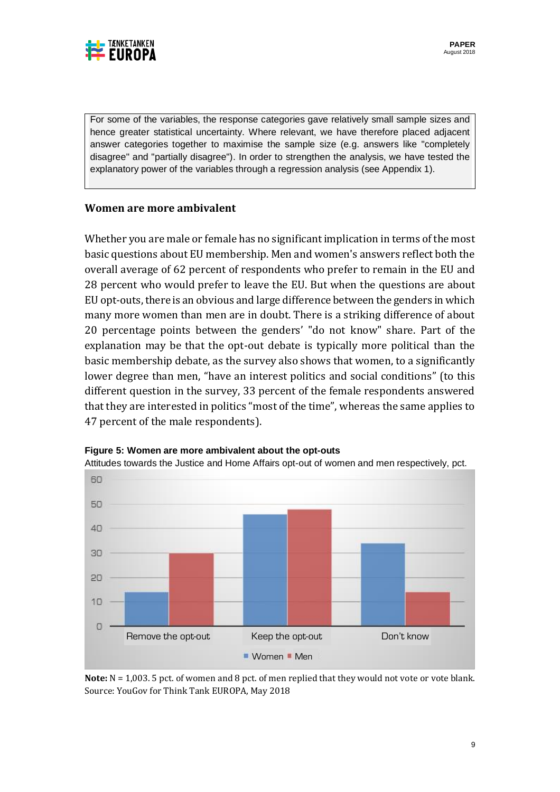

For some of the variables, the response categories gave relatively small sample sizes and hence greater statistical uncertainty. Where relevant, we have therefore placed adjacent answer categories together to maximise the sample size (e.g. answers like "completely disagree" and "partially disagree"). In order to strengthen the analysis, we have tested the explanatory power of the variables through a regression analysis (see Appendix 1).

### **Women are more ambivalent**

Whether you are male or female has no significant implication in terms of the most basic questions about EU membership. Men and women's answers reflect both the overall average of 62 percent of respondents who prefer to remain in the EU and 28 percent who would prefer to leave the EU. But when the questions are about EU opt-outs, there is an obvious and large difference between the genders in which many more women than men are in doubt. There is a striking difference of about 20 percentage points between the genders' "do not know" share. Part of the explanation may be that the opt-out debate is typically more political than the basic membership debate, as the survey also shows that women, to a significantly lower degree than men, "have an interest politics and social conditions" (to this different question in the survey, 33 percent of the female respondents answered that they are interested in politics "most of the time", whereas the same applies to 47 percent of the male respondents).



**Figure 5: Women are more ambivalent about the opt-outs** Attitudes towards the Justice and Home Affairs opt-out of women and men respectively, pct.

**Note:**  $N = 1,003$ . 5 pct. of women and 8 pct. of men replied that they would not vote or vote blank. Source: YouGov for Think Tank EUROPA, May 2018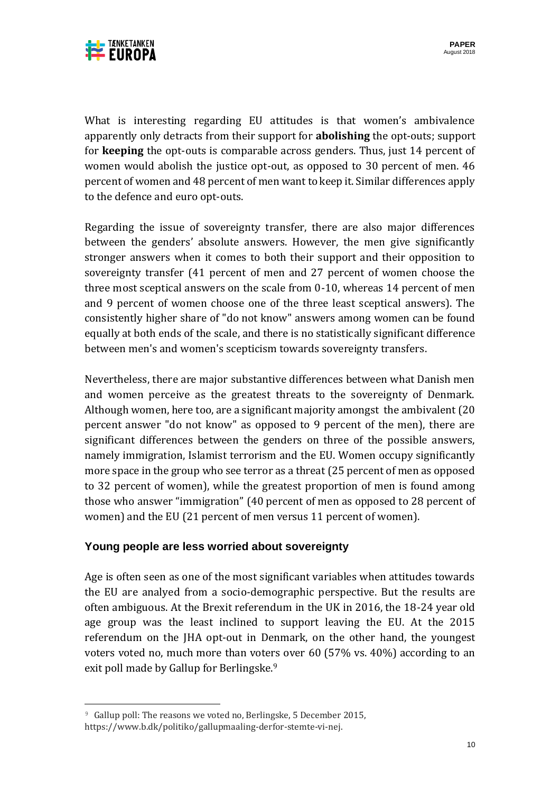

What is interesting regarding EU attitudes is that women's ambivalence apparently only detracts from their support for **abolishing** the opt-outs; support for **keeping** the opt-outs is comparable across genders. Thus, just 14 percent of women would abolish the justice opt-out, as opposed to 30 percent of men. 46 percent of women and 48 percent of men want to keep it. Similar differences apply to the defence and euro opt-outs.

Regarding the issue of sovereignty transfer, there are also major differences between the genders' absolute answers. However, the men give significantly stronger answers when it comes to both their support and their opposition to sovereignty transfer (41 percent of men and 27 percent of women choose the three most sceptical answers on the scale from 0-10, whereas 14 percent of men and 9 percent of women choose one of the three least sceptical answers). The consistently higher share of "do not know" answers among women can be found equally at both ends of the scale, and there is no statistically significant difference between men's and women's scepticism towards sovereignty transfers.

Nevertheless, there are major substantive differences between what Danish men and women perceive as the greatest threats to the sovereignty of Denmark. Although women, here too, are a significant majority amongst the ambivalent (20 percent answer "do not know" as opposed to 9 percent of the men), there are significant differences between the genders on three of the possible answers, namely immigration, Islamist terrorism and the EU. Women occupy significantly more space in the group who see terror as a threat (25 percent of men as opposed to 32 percent of women), while the greatest proportion of men is found among those who answer "immigration" (40 percent of men as opposed to 28 percent of women) and the EU (21 percent of men versus 11 percent of women).

# **Young people are less worried about sovereignty**

Age is often seen as one of the most significant variables when attitudes towards the EU are analyed from a socio-demographic perspective. But the results are often ambiguous. At the Brexit referendum in the UK in 2016, the 18-24 year old age group was the least inclined to support leaving the EU. At the 2015 referendum on the JHA opt-out in Denmark, on the other hand, the youngest voters voted no, much more than voters over 60 (57% vs. 40%) according to an exit poll made by Gallup for Berlingske.<sup>9</sup>

 $\overline{\phantom{a}}$ 

<sup>&</sup>lt;sup>9</sup> Gallup poll: The reasons we voted no, Berlingske, 5 December 2015, https://www.b.dk/politiko/gallupmaaling-derfor-stemte-vi-nej.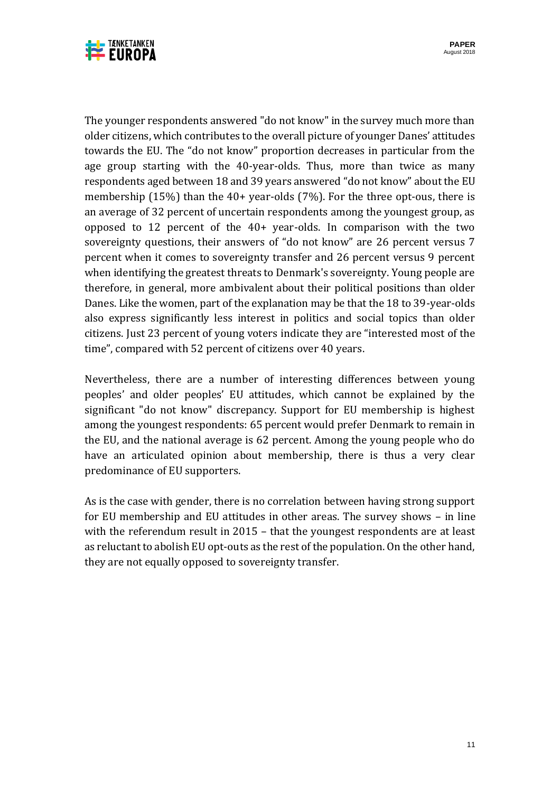

The younger respondents answered "do not know" in the survey much more than older citizens, which contributes to the overall picture of younger Danes' attitudes towards the EU. The "do not know" proportion decreases in particular from the age group starting with the 40-year-olds. Thus, more than twice as many respondents aged between 18 and 39 years answered "do not know" about the EU membership (15%) than the 40+ year-olds (7%). For the three opt-ous, there is an average of 32 percent of uncertain respondents among the youngest group, as opposed to 12 percent of the 40+ year-olds. In comparison with the two sovereignty questions, their answers of "do not know" are 26 percent versus 7 percent when it comes to sovereignty transfer and 26 percent versus 9 percent when identifying the greatest threats to Denmark's sovereignty. Young people are therefore, in general, more ambivalent about their political positions than older Danes. Like the women, part of the explanation may be that the 18 to 39-year-olds also express significantly less interest in politics and social topics than older citizens. Just 23 percent of young voters indicate they are "interested most of the time", compared with 52 percent of citizens over 40 years.

Nevertheless, there are a number of interesting differences between young peoples' and older peoples' EU attitudes, which cannot be explained by the significant "do not know" discrepancy. Support for EU membership is highest among the youngest respondents: 65 percent would prefer Denmark to remain in the EU, and the national average is 62 percent. Among the young people who do have an articulated opinion about membership, there is thus a very clear predominance of EU supporters.

As is the case with gender, there is no correlation between having strong support for EU membership and EU attitudes in other areas. The survey shows – in line with the referendum result in 2015 – that the youngest respondents are at least as reluctant to abolish EU opt-outs as the rest of the population. On the other hand, they are not equally opposed to sovereignty transfer.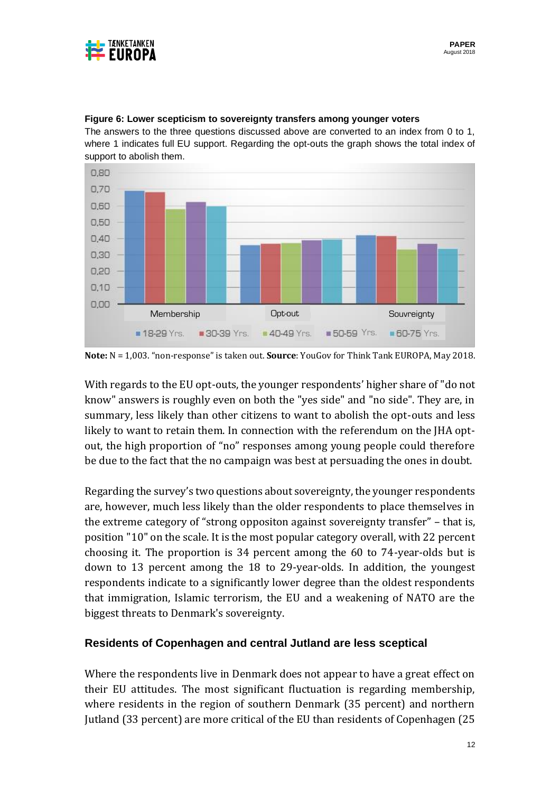



#### **Figure 6: Lower scepticism to sovereignty transfers among younger voters**

The answers to the three questions discussed above are converted to an index from 0 to 1, where 1 indicates full EU support. Regarding the opt-outs the graph shows the total index of support to abolish them.

**Note:** N = 1,003. "non-response" is taken out. **Source**: YouGov for Think Tank EUROPA, May 2018.

With regards to the EU opt-outs, the younger respondents' higher share of "do not know" answers is roughly even on both the "yes side" and "no side". They are, in summary, less likely than other citizens to want to abolish the opt-outs and less likely to want to retain them. In connection with the referendum on the JHA optout, the high proportion of "no" responses among young people could therefore be due to the fact that the no campaign was best at persuading the ones in doubt.

Regarding the survey's two questions about sovereignty, the younger respondents are, however, much less likely than the older respondents to place themselves in the extreme category of "strong oppositon against sovereignty transfer" – that is, position "10" on the scale. It is the most popular category overall, with 22 percent choosing it. The proportion is 34 percent among the 60 to 74-year-olds but is down to 13 percent among the 18 to 29-year-olds. In addition, the youngest respondents indicate to a significantly lower degree than the oldest respondents that immigration, Islamic terrorism, the EU and a weakening of NATO are the biggest threats to Denmark's sovereignty.

# **Residents of Copenhagen and central Jutland are less sceptical**

Where the respondents live in Denmark does not appear to have a great effect on their EU attitudes. The most significant fluctuation is regarding membership, where residents in the region of southern Denmark (35 percent) and northern Jutland (33 percent) are more critical of the EU than residents of Copenhagen (25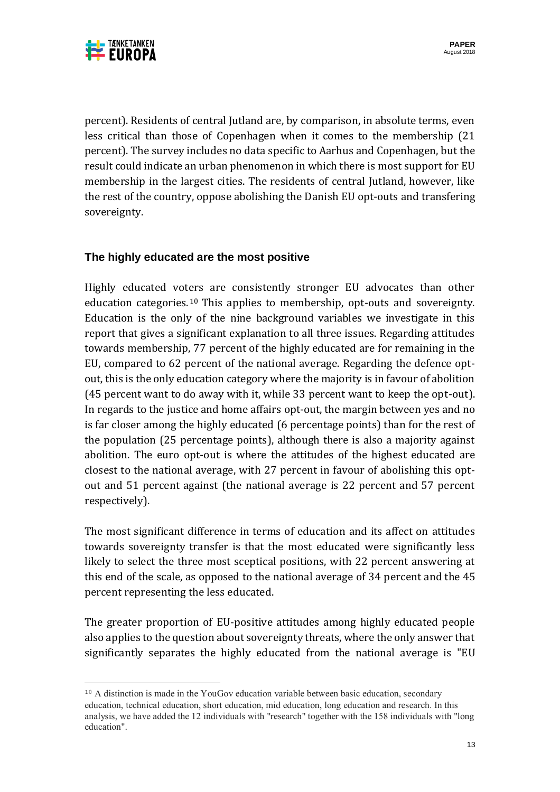



l

percent). Residents of central Jutland are, by comparison, in absolute terms, even less critical than those of Copenhagen when it comes to the membership (21 percent). The survey includes no data specific to Aarhus and Copenhagen, but the result could indicate an urban phenomenon in which there is most support for EU membership in the largest cities. The residents of central Jutland, however, like the rest of the country, oppose abolishing the Danish EU opt-outs and transfering sovereignty.

# **The highly educated are the most positive**

Highly educated voters are consistently stronger EU advocates than other education categories. <sup>10</sup> This applies to membership, opt-outs and sovereignty. Education is the only of the nine background variables we investigate in this report that gives a significant explanation to all three issues. Regarding attitudes towards membership, 77 percent of the highly educated are for remaining in the EU, compared to 62 percent of the national average. Regarding the defence optout, this is the only education category where the majority is in favour of abolition (45 percent want to do away with it, while 33 percent want to keep the opt-out). In regards to the justice and home affairs opt-out, the margin between yes and no is far closer among the highly educated (6 percentage points) than for the rest of the population (25 percentage points), although there is also a majority against abolition. The euro opt-out is where the attitudes of the highest educated are closest to the national average, with 27 percent in favour of abolishing this optout and 51 percent against (the national average is 22 percent and 57 percent respectively).

The most significant difference in terms of education and its affect on attitudes towards sovereignty transfer is that the most educated were significantly less likely to select the three most sceptical positions, with 22 percent answering at this end of the scale, as opposed to the national average of 34 percent and the 45 percent representing the less educated.

The greater proportion of EU-positive attitudes among highly educated people also applies to the question about sovereignty threats, where the only answer that significantly separates the highly educated from the national average is "EU

<sup>&</sup>lt;sup>10</sup> A distinction is made in the YouGov education variable between basic education, secondary education, technical education, short education, mid education, long education and research. In this analysis, we have added the 12 individuals with "research" together with the 158 individuals with "long education".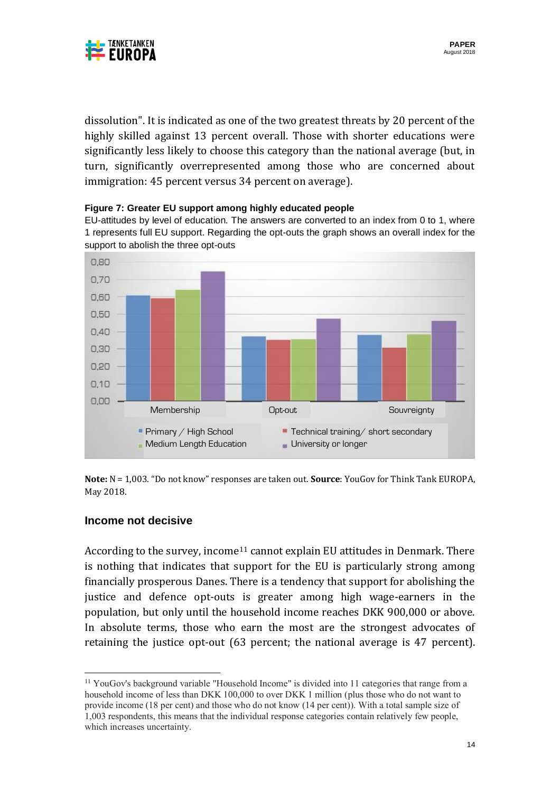

dissolution". It is indicated as one of the two greatest threats by 20 percent of the highly skilled against 13 percent overall. Those with shorter educations were significantly less likely to choose this category than the national average (but, in turn, significantly overrepresented among those who are concerned about immigration: 45 percent versus 34 percent on average).





EU-attitudes by level of education. The answers are converted to an index from 0 to 1, where 1 represents full EU support. Regarding the opt-outs the graph shows an overall index for the support to abolish the three opt-outs

**Note:** N = 1,003. "Do not know" responses are taken out. **Source**: YouGov for Think Tank EUROPA, May 2018.

#### **Income not decisive**

According to the survey, income<sup>11</sup> cannot explain EU attitudes in Denmark. There is nothing that indicates that support for the EU is particularly strong among financially prosperous Danes. There is a tendency that support for abolishing the justice and defence opt-outs is greater among high wage-earners in the population, but only until the household income reaches DKK 900,000 or above. In absolute terms, those who earn the most are the strongest advocates of retaining the justice opt-out (63 percent; the national average is 47 percent).

 $\overline{\phantom{a}}$ <sup>11</sup> YouGov's background variable "Household Income" is divided into 11 categories that range from a household income of less than DKK 100,000 to over DKK 1 million (plus those who do not want to provide income (18 per cent) and those who do not know (14 per cent)). With a total sample size of 1,003 respondents, this means that the individual response categories contain relatively few people, which increases uncertainty.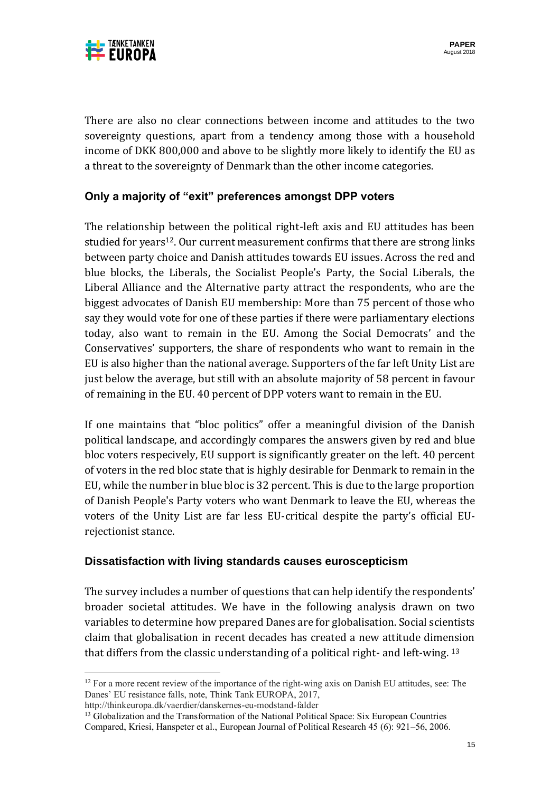

There are also no clear connections between income and attitudes to the two sovereignty questions, apart from a tendency among those with a household income of DKK 800,000 and above to be slightly more likely to identify the EU as a threat to the sovereignty of Denmark than the other income categories.

# **Only a majority of "exit" preferences amongst DPP voters**

The relationship between the political right-left axis and EU attitudes has been studied for years<sup>12</sup>. Our current measurement confirms that there are strong links between party choice and Danish attitudes towards EU issues. Across the red and blue blocks, the Liberals, the Socialist People's Party, the Social Liberals, the Liberal Alliance and the Alternative party attract the respondents, who are the biggest advocates of Danish EU membership: More than 75 percent of those who say they would vote for one of these parties if there were parliamentary elections today, also want to remain in the EU. Among the Social Democrats' and the Conservatives' supporters, the share of respondents who want to remain in the EU is also higher than the national average. Supporters of the far left Unity List are just below the average, but still with an absolute majority of 58 percent in favour of remaining in the EU. 40 percent of DPP voters want to remain in the EU.

If one maintains that "bloc politics" offer a meaningful division of the Danish political landscape, and accordingly compares the answers given by red and blue bloc voters respecively, EU support is significantly greater on the left. 40 percent of voters in the red bloc state that is highly desirable for Denmark to remain in the EU, while the number in blue bloc is 32 percent. This is due to the large proportion of Danish People's Party voters who want Denmark to leave the EU, whereas the voters of the Unity List are far less EU-critical despite the party's official EUrejectionist stance.

# **Dissatisfaction with living standards causes euroscepticism**

The survey includes a number of questions that can help identify the respondents' broader societal attitudes. We have in the following analysis drawn on two variables to determine how prepared Danes are for globalisation. Social scientists claim that globalisation in recent decades has created a new attitude dimension that differs from the classic understanding of a political right- and left-wing. <sup>13</sup>

http://thinkeuropa.dk/vaerdier/danskernes-eu-modstand-falder

 $\overline{\phantom{a}}$ 

<sup>&</sup>lt;sup>12</sup> For a more recent review of the importance of the right-wing axis on Danish EU attitudes, see: The Danes' EU resistance falls, note, Think Tank EUROPA, 2017,

<sup>&</sup>lt;sup>13</sup> Globalization and the Transformation of the National Political Space: Six European Countries Compared, Kriesi, Hanspeter et al., European Journal of Political Research 45 (6): 921–56, 2006.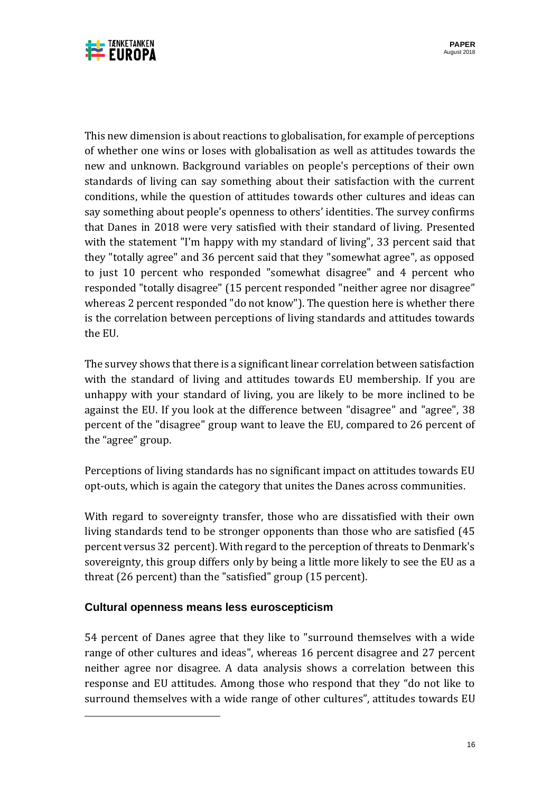

This new dimension is about reactions to globalisation, for example of perceptions of whether one wins or loses with globalisation as well as attitudes towards the new and unknown. Background variables on people's perceptions of their own standards of living can say something about their satisfaction with the current conditions, while the question of attitudes towards other cultures and ideas can say something about people's openness to others' identities. The survey confirms that Danes in 2018 were very satisfied with their standard of living. Presented with the statement "I'm happy with my standard of living", 33 percent said that they "totally agree" and 36 percent said that they "somewhat agree", as opposed to just 10 percent who responded "somewhat disagree" and 4 percent who responded "totally disagree" (15 percent responded "neither agree nor disagree" whereas 2 percent responded "do not know"). The question here is whether there is the correlation between perceptions of living standards and attitudes towards the EU.

The survey shows that there is a significant linear correlation between satisfaction with the standard of living and attitudes towards EU membership. If you are unhappy with your standard of living, you are likely to be more inclined to be against the EU. If you look at the difference between "disagree" and "agree", 38 percent of the "disagree" group want to leave the EU, compared to 26 percent of the "agree" group.

Perceptions of living standards has no significant impact on attitudes towards EU opt-outs, which is again the category that unites the Danes across communities.

With regard to sovereignty transfer, those who are dissatisfied with their own living standards tend to be stronger opponents than those who are satisfied (45 percent versus 32 percent). With regard to the perception of threats to Denmark's sovereignty, this group differs only by being a little more likely to see the EU as a threat (26 percent) than the "satisfied" group (15 percent).

# **Cultural openness means less euroscepticism**

 $\overline{\phantom{a}}$ 

54 percent of Danes agree that they like to "surround themselves with a wide range of other cultures and ideas", whereas 16 percent disagree and 27 percent neither agree nor disagree. A data analysis shows a correlation between this response and EU attitudes. Among those who respond that they "do not like to surround themselves with a wide range of other cultures", attitudes towards EU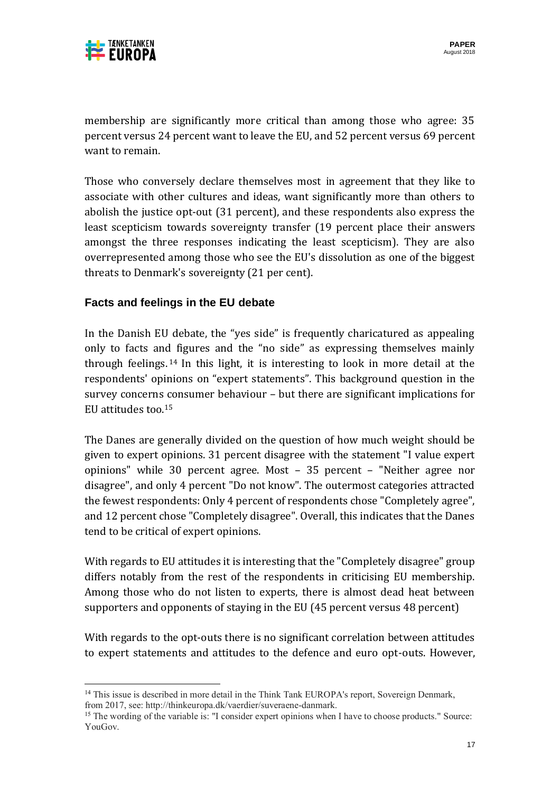

membership are significantly more critical than among those who agree: 35 percent versus 24 percent want to leave the EU, and 52 percent versus 69 percent want to remain.

Those who conversely declare themselves most in agreement that they like to associate with other cultures and ideas, want significantly more than others to abolish the justice opt-out (31 percent), and these respondents also express the least scepticism towards sovereignty transfer (19 percent place their answers amongst the three responses indicating the least scepticism). They are also overrepresented among those who see the EU's dissolution as one of the biggest threats to Denmark's sovereignty (21 per cent).

# **Facts and feelings in the EU debate**

In the Danish EU debate, the "yes side" is frequently charicatured as appealing only to facts and figures and the "no side" as expressing themselves mainly through feelings. <sup>14</sup> In this light, it is interesting to look in more detail at the respondents' opinions on "expert statements". This background question in the survey concerns consumer behaviour – but there are significant implications for EU attitudes too.<sup>15</sup>

The Danes are generally divided on the question of how much weight should be given to expert opinions. 31 percent disagree with the statement "I value expert opinions" while 30 percent agree. Most – 35 percent – "Neither agree nor disagree", and only 4 percent "Do not know". The outermost categories attracted the fewest respondents: Only 4 percent of respondents chose "Completely agree", and 12 percent chose "Completely disagree". Overall, this indicates that the Danes tend to be critical of expert opinions.

With regards to EU attitudes it is interesting that the "Completely disagree" group differs notably from the rest of the respondents in criticising EU membership. Among those who do not listen to experts, there is almost dead heat between supporters and opponents of staying in the EU (45 percent versus 48 percent)

With regards to the opt-outs there is no significant correlation between attitudes to expert statements and attitudes to the defence and euro opt-outs. However,

 $\overline{\phantom{a}}$ <sup>14</sup> This issue is described in more detail in the Think Tank EUROPA's report. Sovereign Denmark, from 2017, see: http://thinkeuropa.dk/vaerdier/suveraene-danmark.

<sup>&</sup>lt;sup>15</sup> The wording of the variable is: "I consider expert opinions when I have to choose products." Source: YouGov.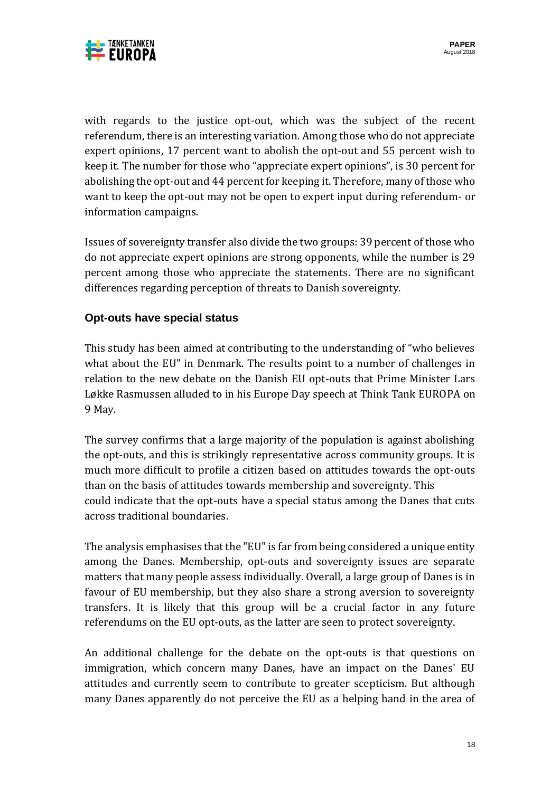

with regards to the justice opt-out, which was the subject of the recent referendum, there is an interesting variation. Among those who do not appreciate expert opinions, 17 percent want to abolish the opt-out and 55 percent wish to keep it. The number for those who "appreciate expert opinions", is 30 percent for abolishing the opt-out and 44 percent for keeping it. Therefore, many of those who want to keep the opt-out may not be open to expert input during referendum- or information campaigns.

Issues of sovereignty transfer also divide the two groups: 39 percent of those who do not appreciate expert opinions are strong opponents, while the number is 29 percent among those who appreciate the statements. There are no significant differences regarding perception of threats to Danish sovereignty.

# **Opt-outs have special status**

This study has been aimed at contributing to the understanding of "who believes what about the EU" in Denmark. The results point to a number of challenges in relation to the new debate on the Danish EU opt-outs that Prime Minister Lars Løkke Rasmussen alluded to in his Europe Day speech at Think Tank EUROPA on 9 May.

The survey confirms that a large majority of the population is against abolishing the opt-outs, and this is strikingly representative across community groups. It is much more difficult to profile a citizen based on attitudes towards the opt-outs than on the basis of attitudes towards membership and sovereignty. This could indicate that the opt-outs have a special status among the Danes that cuts across traditional boundaries.

The analysis emphasises that the "EU" is far from being considered a unique entity among the Danes. Membership, opt-outs and sovereignty issues are separate matters that many people assess individually. Overall, a large group of Danes is in favour of EU membership, but they also share a strong aversion to sovereignty transfers. It is likely that this group will be a crucial factor in any future referendums on the EU opt-outs, as the latter are seen to protect sovereignty.

An additional challenge for the debate on the opt-outs is that questions on immigration, which concern many Danes, have an impact on the Danes' EU attitudes and currently seem to contribute to greater scepticism. But although many Danes apparently do not perceive the EU as a helping hand in the area of